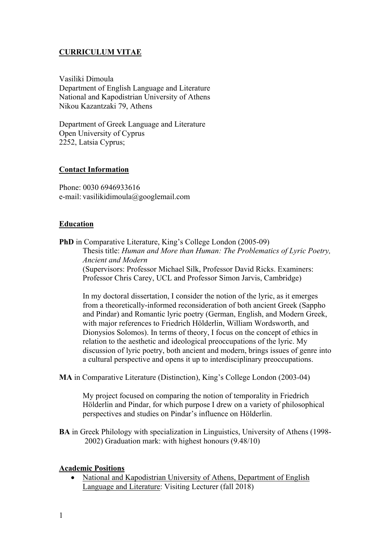# **CURRICULUM VITAE**

Vasiliki Dimoula Department of English Language and Literature National and Kapodistrian University of Athens Nikou Kazantzaki 79, Athens

Department of Greek Language and Literature Open University of Cyprus 2252, Latsia Cyprus;

#### **Contact Information**

Phone: 0030 6946933616 e-mail: vasilikidimoula@googlemail.com

#### **Education**

**PhD** in Comparative Literature, King's College London (2005-09) Thesis title: *Human and More than Human: The Problematics of Lyric Poetry, Ancient and Modern* (Supervisors: Professor Michael Silk, Professor David Ricks. Examiners: Professor Chris Carey, UCL and Professor Simon Jarvis, Cambridge)

In my doctoral dissertation, I consider the notion of the lyric, as it emerges from a theoretically-informed reconsideration of both ancient Greek (Sappho and Pindar) and Romantic lyric poetry (German, English, and Modern Greek, with major references to Friedrich Hölderlin, William Wordsworth, and Dionysios Solomos). In terms of theory, I focus on the concept of ethics in relation to the aesthetic and ideological preoccupations of the lyric. My discussion of lyric poetry, both ancient and modern, brings issues of genre into a cultural perspective and opens it up to interdisciplinary preoccupations.

**MA** in Comparative Literature (Distinction), King's College London (2003-04)

My project focused on comparing the notion of temporality in Friedrich Hölderlin and Pindar, for which purpose I drew on a variety of philosophical perspectives and studies on Pindar's influence on Hölderlin.

**BA** in Greek Philology with specialization in Linguistics, University of Athens (1998- 2002) Graduation mark: with highest honours (9.48/10)

#### **Academic Positions**

 National and Kapodistrian University of Athens, Department of English Language and Literature: Visiting Lecturer (fall 2018)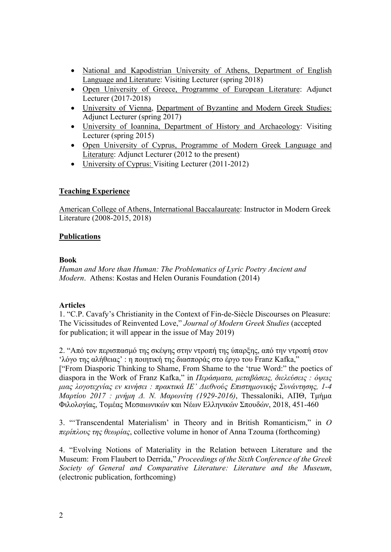- National and Kapodistrian University of Athens, Department of English Language and Literature: Visiting Lecturer (spring 2018)
- Open University of Greece, Programme of European Literature: Adjunct Lecturer (2017-2018)
- University of Vienna, Department of Byzantine and Modern Greek Studies: Adjunct Lecturer (spring 2017)
- University of Ioannina, Department of History and Archaeology: Visiting Lecturer (spring 2015)
- Open University of Cyprus, Programme of Modern Greek Language and Literature: Adjunct Lecturer (2012 to the present)
- University of Cyprus: Visiting Lecturer (2011-2012)

## **Teaching Experience**

American College of Athens, International Baccalaureate: Instructor in Modern Greek Literature (2008-2015, 2018)

### **Publications**

#### **Book**

*Human and More than Human: The Problematics of Lyric Poetry Ancient and Modern*. Athens: Kostas and Helen Ouranis Foundation (2014)

#### **Articles**

1. "C.P. Cavafy's Christianity in the Context of Fin-de-Siècle Discourses on Pleasure: The Vicissitudes of Reinvented Love," *Journal of Modern Greek Studies* (accepted for publication; it will appear in the issue of May 2019)

2. "Από τον περισπασμό της σκέψης στην ντροπή της ύπαρξης, από την ντροπή στον 'λόγο της αλήθειας' : η ποιητική της διασποράς στο έργο του Franz Kafka," ["From Diasporic Thinking to Shame, From Shame to the 'true Word:" the poetics of diaspora in the Work of Franz Kafka," in *Περάσματα, μεταβάσεις, διελεύσεις : όψεις μιας λογοτεχνίας εν κινήσει : πρακτικά ΙΕ' Διεθνούς Επιστημονικής Συνάντησης, 1-4 Μαρτίου 2017 : μνήμη Δ. Ν. Μαρωνίτη (1929-2016)*, Thessaloniki, ΑΠΘ, Τμήμα Φιλολογίας, Τομέας Μεσαιωνικών και Νέων Ελληνικών Σπουδών, 2018, 451-460

3. "'Transcendental Materialism' in Theory and in British Romanticism," in *Ο περίπλους της θεωρίας*, collective volume in honor of Anna Tzouma (forthcoming)

4. "Evolving Notions of Materiality in the Relation between Literature and the Museum: From Flaubert to Derrida," *Proceedings of the Sixth Conference of the Greek Society of General and Comparative Literature: Literature and the Museum*, (electronic publication, forthcoming)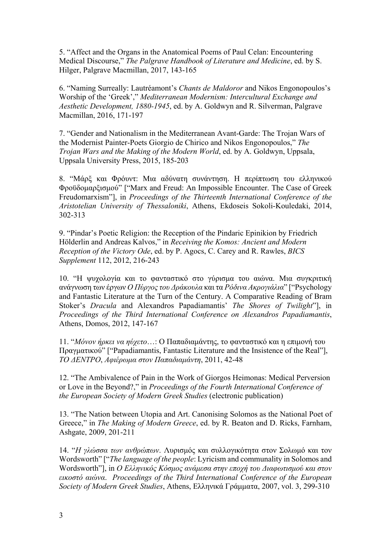5. "Affect and the Organs in the Anatomical Poems of Paul Celan: Encountering Medical Discourse," *The Palgrave Handbook of Literature and Medicine*, ed. by S. Hilger, Palgrave Macmillan, 2017, 143-165

6. "Naming Surreally: Lautréamont's *Chants de Maldoror* and Nikos Engonopoulos's Worship of the 'Greek'," *Mediterranean Modernism: Intercultural Exchange and Aesthetic Development, 1880-1945*, ed. by A. Goldwyn and R. Silverman, Palgrave Macmillan, 2016, 171-197

7. "Gender and Nationalism in the Mediterranean Avant-Garde: The Trojan Wars of the Modernist Painter-Poets Giorgio de Chirico and Nikos Engonopoulos," *The Trojan Wars and the Making of the Modern World*, ed. by A. Goldwyn, Uppsala, Uppsala University Press, 2015, 185-203

8. "Μάρξ και Φρόυντ: Μια αδύνατη συνάντηση. Η περίπτωση του ελληνικού Φροϋδομαρξισμού" ["Marx and Freud: An Impossible Encounter. The Case of Greek Freudomarxism"], in *Proceedings of the Thirteenth International Conference of the Aristotelian University of Thessaloniki*, Athens, Ekdoseis Sokoli-Kouledaki, 2014, 302-313

9. "Pindar's Poetic Religion: the Reception of the Pindaric Epinikion by Friedrich Hölderlin and Andreas Kalvos," in *Receiving the Komos: Ancient and Modern Reception of the Victory Ode*, ed. by P. Agocs, C. Carey and R. Rawles, *BICS Supplement* 112, 2012, 216-243

10. "Η ψυχολογία και το φανταστικό στο γύρισμα του αιώνα. Μια συγκριτική ανάγνωση των έργων *Ο Πύργος του Δράκουλα* και τα *Ρόδινα Ακρογιάλια*" ["Psychology and Fantastic Literature at the Turn of the Century. A Comparative Reading of Bram Stoker's *Dracula* and Alexandros Papadiamantis' *The Shores of Twilight*"], in *Proceedings of the Third International Conference on Alexandros Papadiamantis*, Athens, Domos, 2012, 147-167

11. "*Μόνον ήρκει να ηύχετο*…: Ο Παπαδιαμάντης, το φανταστικό και η επιμονή του Πραγματικού" ["Papadiamantis, Fantastic Literature and the Insistence of the Real"], *ΤΟ ΔΕΝΤΡΟ*, *Αφιέρωμα στον Παπαδιαμάντη*, 2011, 42-48

12. "The Ambivalence of Pain in the Work of Giorgos Heimonas: Medical Perversion or Love in the Beyond?," in *Proceedings of the Fourth International Conference of the European Society of Modern Greek Studies* (electronic publication)

13. "The Nation between Utopia and Art. Canonising Solomos as the National Poet of Greece," in *The Making of Modern Greece*, ed. by R. Beaton and D. Ricks, Farnham, Ashgate, 2009, 201-211

14. "*Η γλώσσα των ανθρώπων*. Λυρισμός και συλλογικότητα στον Σολωμό και τον Wordsworth" ["*The language of the people*: Lyricism and communality in Solomos and Wordsworth"], in *Ο Ελληνικός Κόσμος ανάμεσα στην εποχή του Διαφωτισμού και στον εικοστό αιώνα*. *Proceedings of the Third International Conference of the European Society of Modern Greek Studies*, Athens, Ελληνικά Γράμματα, 2007, vol. 3, 299-310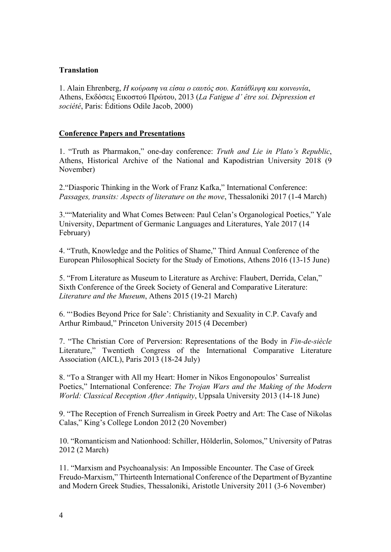### **Translation**

1. Alain Ehrenberg, *Η κούραση να είσαι ο εαυτός σου. Κατάθλιψη και κοινωνία*, Athens, Εκδόσεις Εικοστού Πρώτου, 2013 (*La Fatigue d' être soi. Dépression et société*, Paris: Éditions Odile Jacob, 2000)

### **Conference Papers and Presentations**

1. "Truth as Pharmakon," one-day conference: *Truth and Lie in Plato's Republic*, Athens, Historical Archive of the National and Kapodistrian University 2018 (9 November)

2."Diasporic Thinking in the Work of Franz Kafka," International Conference: *Passages, transits: Aspects of literature on the move*, Thessaloniki 2017 (1-4 March)

3.""Materiality and What Comes Between: Paul Celan's Organological Poetics," Yale University, Department of Germanic Languages and Literatures, Yale 2017 (14 February)

4. "Truth, Knowledge and the Politics of Shame," Third Annual Conference of the European Philosophical Society for the Study of Emotions, Athens 2016 (13-15 June)

5. "From Literature as Museum to Literature as Archive: Flaubert, Derrida, Celan," Sixth Conference of the Greek Society of General and Comparative Literature: *Literature and the Museum*, Athens 2015 (19-21 March)

6. "'Bodies Beyond Price for Sale': Christianity and Sexuality in C.P. Cavafy and Arthur Rimbaud," Princeton University 2015 (4 December)

7. "The Christian Core of Perversion: Representations of the Body in *Fin-de-siècle* Literature," Twentieth Congress of the International Comparative Literature Association (AICL), Paris 2013 (18-24 July)

8. "Το a Stranger with All my Heart: Homer in Nikos Engonopoulos' Surrealist Poetics," International Conference: *The Trojan Wars and the Making of the Modern World: Classical Reception After Antiquity*, Uppsala University 2013 (14-18 June)

9. "The Reception of French Surrealism in Greek Poetry and Art: The Case of Nikolas Calas," King's College London 2012 (20 November)

10. "Romanticism and Nationhood: Schiller, Hölderlin, Solomos," University of Patras 2012 (2 March)

11. "Marxism and Psychoanalysis: An Impossible Encounter. The Case of Greek Freudo-Marxism," Thirteenth International Conference of the Department of Byzantine and Modern Greek Studies, Thessaloniki, Aristotle University 2011 (3-6 November)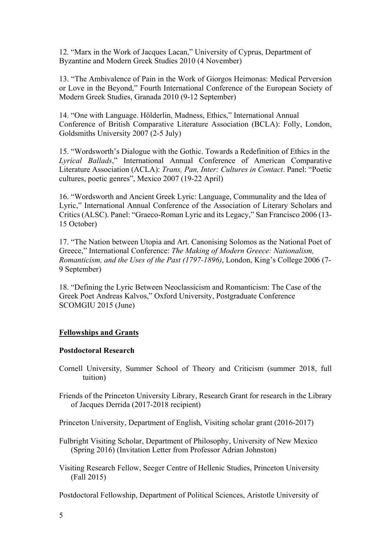12. "Marx in the Work of Jacques Lacan," University of Cyprus, Department of Byzantine and Modern Greek Studies 2010 (4 November)

13. "The Ambivalence of Pain in the Work of Giorgos Heimonas: Medical Perversion or Love in the Beyond," Fourth International Conference of the European Society of Modern Greek Studies, Granada 2010 (9-12 September)

14. "One with Language. Hölderlin, Madness, Ethics," International Annual Conference of British Comparative Literature Association (BCLA): Folly, London, Goldsmiths University 2007 (2-5 July)

15. "Wordsworth's Dialogue with the Gothic. Towards a Redefinition of Ethics in the *Lyrical Ballads*," International Annual Conference of American Comparative Literature Association (ACLA): *Trans, Pan, Inter: Cultures in Contact*. Panel: "Poetic cultures, poetic genres", Mexico 2007 (19-22 April)

16. "Wordsworth and Ancient Greek Lyric: Language, Communality and the Idea of Lyric," International Annual Conference of the Association of Literary Scholars and Critics (ALSC). Panel: "Graeco-Roman Lyric and its Legacy," San Francisco 2006 (13- 15 October)

17. "The Nation between Utopia and Art. Canonising Solomos as the National Poet of Greece," International Conference: *The Making of Modern Greece: Nationalism, Romanticism, and the Uses of the Past (1797-1896)*, London, King's College 2006 (7- 9 September)

18. "Defining the Lyric Between Neoclassicism and Romanticism: The Case of the Greek Poet Andreas Kalvos," Oxford University, Postgraduate Conference SCOMGIU 2015 (June)

## **Fellowships and Grants**

#### **Postdoctoral Research**

- Cornell University, Summer School of Theory and Criticism (summer 2018, full tuition)
- Friends of the Princeton University Library, Research Grant for research in the Library of Jacques Derrida (2017-2018 recipient)

Princeton University, Department of English, Visiting scholar grant (2016-2017)

- Fulbright Visiting Scholar, Department of Philosophy, University of New Mexico (Spring 2016) (Invitation Letter from Professor Adrian Johnston)
- Visiting Research Fellow, Seeger Centre of Hellenic Studies, Princeton University (Fall 2015)

Postdoctoral Fellowship, Department of Political Sciences, Aristotle University of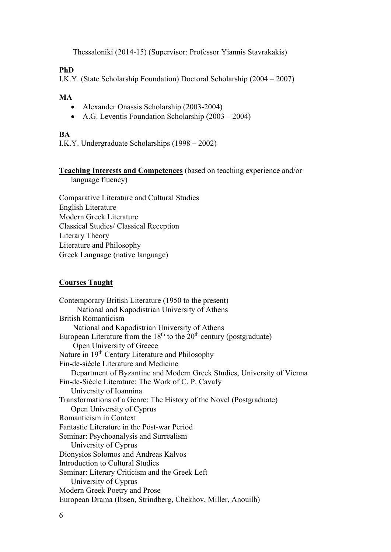Thessaloniki (2014-15) (Supervisor: Professor Yiannis Stavrakakis)

### **PhD**

I.Κ.Υ. (State Scholarship Foundation) Doctoral Scholarship (2004 – 2007)

### **MA**

- Alexander Onassis Scholarship (2003-2004)
- Α.G. Leventis Foundation Scholarship (2003 2004)

# **BA**

Ι.Κ.Υ. Undergraduate Scholarships (1998 – 2002)

# **Teaching Interests and Competences** (based on teaching experience and/or

language fluency)

Comparative Literature and Cultural Studies English Literature Modern Greek Literature Classical Studies/ Classical Reception Literary Theory Literature and Philosophy Greek Language (native language)

## **Courses Taught**

Contemporary British Literature (1950 to the present) National and Kapodistrian University of Athens British Romanticism National and Kapodistrian University of Athens European Literature from the  $18<sup>th</sup>$  to the  $20<sup>th</sup>$  century (postgraduate) Open University of Greece Nature in 19<sup>th</sup> Century Literature and Philosophy Fin-de-siècle Literature and Medicine Department of Byzantine and Modern Greek Studies, University of Vienna Fin-de-Siècle Literature: The Work of C. P. Cavafy University of Ioannina Transformations of a Genre: The History of the Novel (Postgraduate) Open University of Cyprus Romanticism in Context Fantastic Literature in the Post-war Period Seminar: Psychoanalysis and Surrealism University of Cyprus Dionysios Solomos and Andreas Kalvos Introduction to Cultural Studies Seminar: Literary Criticism and the Greek Left University of Cyprus Modern Greek Poetry and Prose European Drama (Ibsen, Strindberg, Chekhov, Miller, Anouilh)